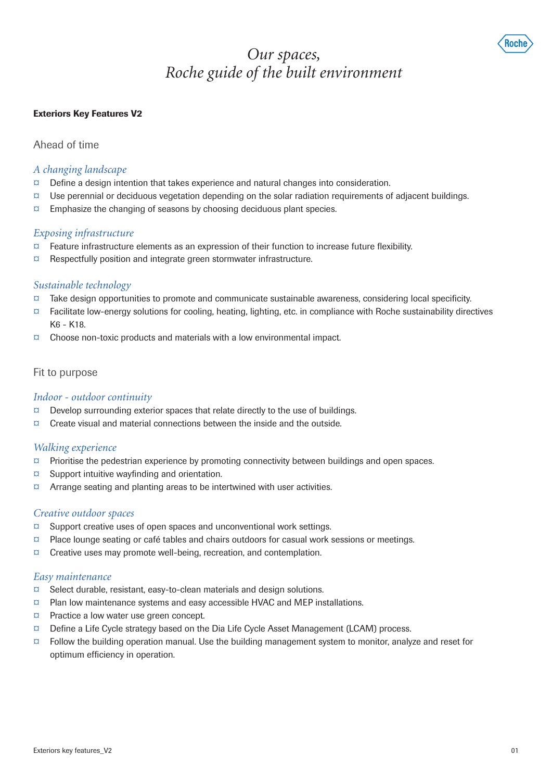

# *Our spaces, Roche guide of the built environment*

## Exteriors Key Features V2

Ahead of time

## *A changing landscape*

- $\alpha$  Define a design intention that takes experience and natural changes into consideration.
- $\alpha$  Use perennial or deciduous vegetation depending on the solar radiation requirements of adjacent buildings.
- $\alpha$  Emphasize the changing of seasons by choosing deciduous plant species.

## *Exposing infrastructure*

- $\Box$  Feature infrastructure elements as an expression of their function to increase future flexibility.
- ¤ Respectfully position and integrate green stormwater infrastructure.

# *Sustainable technology*

- ¤ Take design opportunities to promote and communicate sustainable awareness, considering local specificity.
- $\alpha$  Facilitate low-energy solutions for cooling, heating, lighting, etc. in compliance with Roche sustainability directives K6 - K18.
- $\alpha$  Choose non-toxic products and materials with a low environmental impact.

# Fit to purpose

# *Indoor - outdoor continuity*

- $\Box$  Develop surrounding exterior spaces that relate directly to the use of buildings.
- $\sigma$  Create visual and material connections between the inside and the outside.

# *Walking experience*

- $\alpha$  Prioritise the pedestrian experience by promoting connectivity between buildings and open spaces.
- $\alpha$  Support intuitive wayfinding and orientation.
- $\alpha$  Arrange seating and planting areas to be intertwined with user activities.

# *Creative outdoor spaces*

- $\alpha$  Support creative uses of open spaces and unconventional work settings.
- $\Box$  Place lounge seating or café tables and chairs outdoors for casual work sessions or meetings.
- ¤ Creative uses may promote well-being, recreation, and contemplation.

#### *Easy maintenance*

- $\alpha$  Select durable, resistant, easy-to-clean materials and design solutions.
- $\alpha$  Plan low maintenance systems and easy accessible HVAC and MEP installations.
- ¤ Practice a low water use green concept.
- ¤ Define a Life Cycle strategy based on the Dia Life Cycle Asset Management (LCAM) process.
- $\alpha$  Follow the building operation manual. Use the building management system to monitor, analyze and reset for optimum efficiency in operation.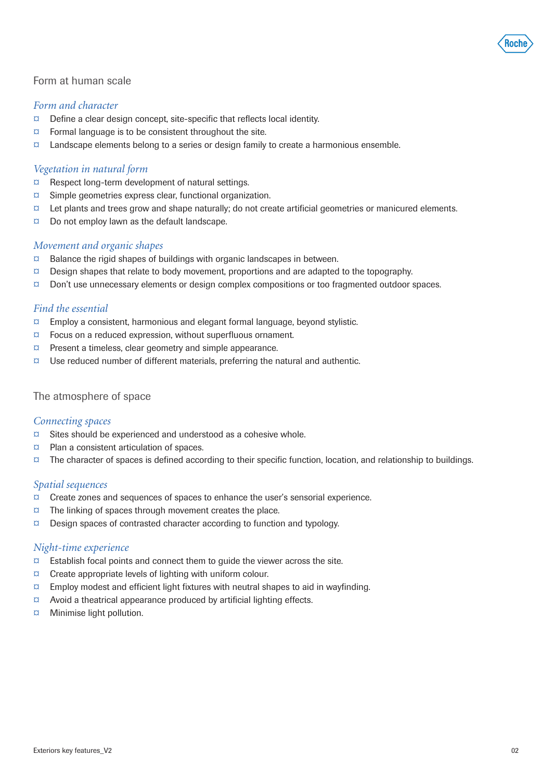

## Form at human scale

#### *Form and character*

- $\alpha$  Define a clear design concept, site-specific that reflects local identity.
- $\alpha$  Formal language is to be consistent throughout the site.
- $\Box$  Landscape elements belong to a series or design family to create a harmonious ensemble.

#### *Vegetation in natural form*

- ¤ Respect long-term development of natural settings.
- ¤ Simple geometries express clear, functional organization.
- $\Box$  Let plants and trees grow and shape naturally; do not create artificial geometries or manicured elements.
- $\alpha$  Do not employ lawn as the default landscape.

#### *Movement and organic shapes*

- $\alpha$  Balance the rigid shapes of buildings with organic landscapes in between.
- $\Box$  Design shapes that relate to body movement, proportions and are adapted to the topography.
- ¤ Don't use unnecessary elements or design complex compositions or too fragmented outdoor spaces.

## *Find the essential*

- $\alpha$  Employ a consistent, harmonious and elegant formal language, beyond stylistic.
- $\sigma$  Focus on a reduced expression, without superfluous ornament.
- ¤ Present a timeless, clear geometry and simple appearance.
- $\Box$  Use reduced number of different materials, preferring the natural and authentic.

#### The atmosphere of space

#### *Connecting spaces*

- $\alpha$  Sites should be experienced and understood as a cohesive whole.
- ¤ Plan a consistent articulation of spaces.
- $\Box$  The character of spaces is defined according to their specific function, location, and relationship to buildings.

## *Spatial sequences*

- ¤ Create zones and sequences of spaces to enhance the user's sensorial experience.
- $\alpha$  The linking of spaces through movement creates the place.
- $\Box$  Design spaces of contrasted character according to function and typology.

#### *Night-time experience*

- $\alpha$  Establish focal points and connect them to guide the viewer across the site.
- $\alpha$  Create appropriate levels of lighting with uniform colour.
- $\alpha$  Employ modest and efficient light fixtures with neutral shapes to aid in wayfinding.
- $\alpha$  Avoid a theatrical appearance produced by artificial lighting effects.
- ¤ Minimise light pollution.